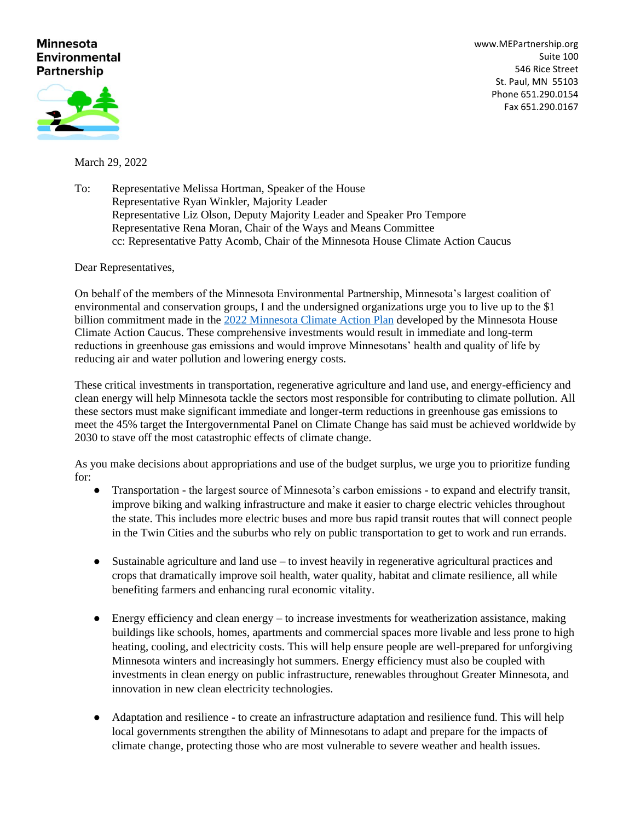## **Minnesota Environmental Partnership**

[www.MEPartnership.org](http://www.mepartnership.org/) Suite 100 546 Rice Street St. Paul, MN 55103 Phone 651.290.0154 Fax 651.290.0167



March 29, 2022

To: Representative Melissa Hortman, Speaker of the House Representative Ryan Winkler, Majority Leader Representative Liz Olson, Deputy Majority Leader and Speaker Pro Tempore Representative Rena Moran, Chair of the Ways and Means Committee cc: Representative Patty Acomb, Chair of the Minnesota House Climate Action Caucus

Dear Representatives,

On behalf of the members of the Minnesota Environmental Partnership, Minnesota's largest coalition of environmental and conservation groups, I and the undersigned organizations urge you to live up to the \$1 billion commitment made in the [2022 Minnesota Climate Action Plan](http://out02.thedatabank.com/?r=MTAwMg0KSjQ3MjE5Mi1DODktTTMyNTgzLS1tZG9sbA0KMjcxNTU4OTkxMzU2MDIwMTQ0NTQzMjU4MzEwMg0KMTczMDAwMDE0NTZhZQ0KaHR0cHM6Ly9jb250ZW50LmdvdmRlbGl2ZXJ5LmNvbS9hdHRhY2htZW50cy9NTkhPVVNFREZMLzIwMjIvMDEvMTkvZmlsZV9hdHRhY2htZW50cy8yMDUyMTk5LzIwMjIlMjBNaW5uZXNvdGElMjBDbGltYXRlJTIwQWN0aW9uJTIwUGxhbiUyMHYyLnBkZg0KMjAyMjIwbWlubmVzb3RhMjANCm1hdHRoZXdAbWVwYXJ0bmVyc2hpcC5vcmc%3d) developed by the Minnesota House Climate Action Caucus. These comprehensive investments would result in immediate and long-term reductions in greenhouse gas emissions and would improve Minnesotans' health and quality of life by reducing air and water pollution and lowering energy costs.

These critical investments in transportation, regenerative agriculture and land use, and energy-efficiency and clean energy will help Minnesota tackle the sectors most responsible for contributing to climate pollution. All these sectors must make significant immediate and longer-term reductions in greenhouse gas emissions to meet the 45% target the Intergovernmental Panel on Climate Change has said must be achieved worldwide by 2030 to stave off the most catastrophic effects of climate change.

As you make decisions about appropriations and use of the budget surplus, we urge you to prioritize funding for:

- Transportation the largest source of Minnesota's carbon emissions to expand and electrify transit, improve biking and walking infrastructure and make it easier to charge electric vehicles throughout the state. This includes more electric buses and more bus rapid transit routes that will connect people in the Twin Cities and the suburbs who rely on public transportation to get to work and run errands.
- Sustainable agriculture and land use to invest heavily in regenerative agricultural practices and crops that dramatically improve soil health, water quality, habitat and climate resilience, all while benefiting farmers and enhancing rural economic vitality.
- $\bullet$  Energy efficiency and clean energy to increase investments for weatherization assistance, making buildings like schools, homes, apartments and commercial spaces more livable and less prone to high heating, cooling, and electricity costs. This will help ensure people are well-prepared for unforgiving Minnesota winters and increasingly hot summers. Energy efficiency must also be coupled with investments in clean energy on public infrastructure, renewables throughout Greater Minnesota, and innovation in new clean electricity technologies.
- Adaptation and resilience to create an infrastructure adaptation and resilience fund. This will help local governments strengthen the ability of Minnesotans to adapt and prepare for the impacts of climate change, protecting those who are most vulnerable to severe weather and health issues.